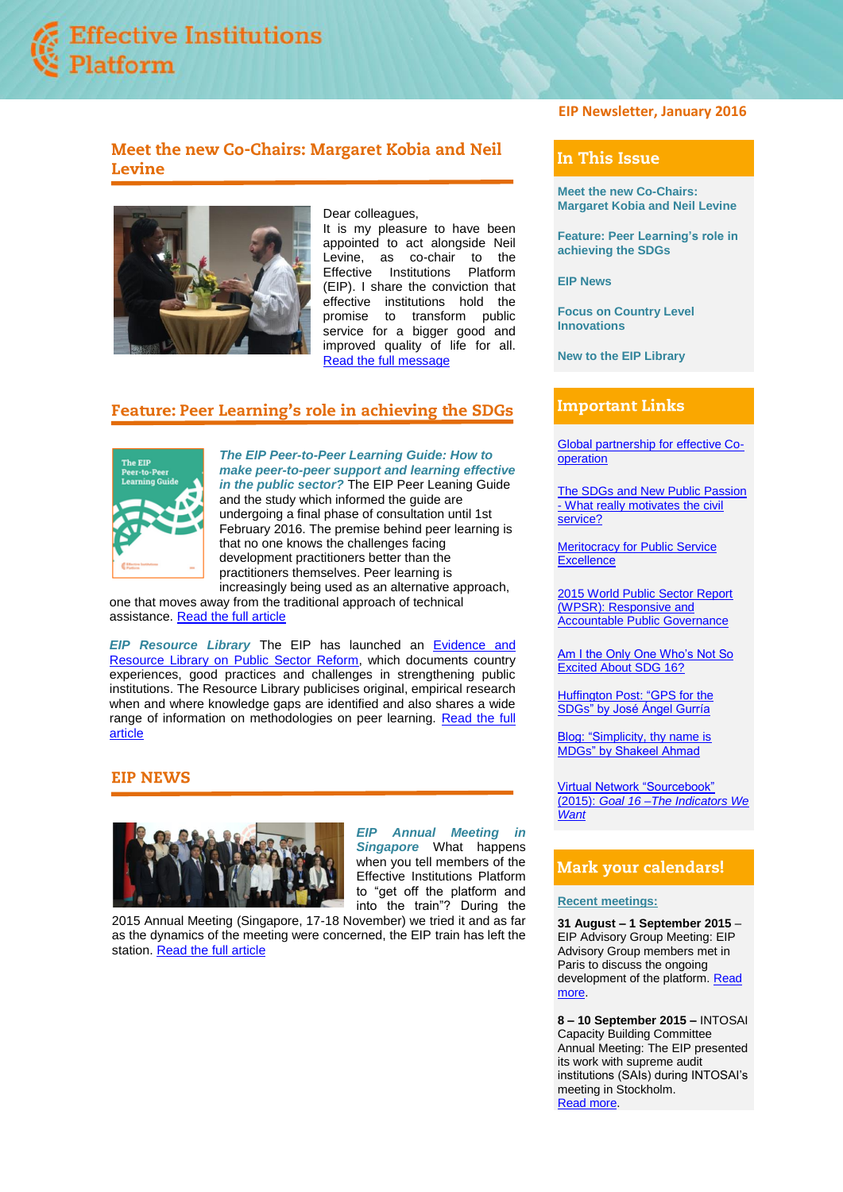

# Meet the new Co-Chairs: Margaret Kobia and Neil Levine



Dear colleagues,

It is my pleasure to have been appointed to act alongside Neil Levine, as co-chair to the<br>Effective Institutions Platform Effective Institutions (EIP). I share the conviction that effective institutions hold the promise to transform public service for a bigger good and improved quality of life for all. [Read the full message](https://www.effectiveinstitutions.org/media/Message_from_co-chairs_izJL8cV.pdf)

# **Feature: Peer Learning's role in achieving the SDGs**



*The EIP Peer-to-Peer Learning Guide: How to make peer-to-peer support and learning effective in the public sector?* The EIP Peer Leaning Guide and the study which informed the guide are undergoing a final phase of consultation until 1st February 2016. The premise behind peer learning is that no one knows the challenges facing development practitioners better than the practitioners themselves. Peer learning is increasingly being used as an alternative approach,

one that moves away from the traditional approach of technical assistance. [Read the full article](https://www.effectiveinstitutions.org/media/Feature_Peer_Learning_N4tYi3g.pdf)

*[EIP Resource Library](http://www.effectiveinstitutions.org/newsevents/EIP%20Mexico%20Country%20Systems.pdf)* The EIP has launched an [Evidence and](http://www.effectiveinstitutions.org/en/resource-library)  [Resource Library on Public Sector Reform,](http://www.effectiveinstitutions.org/en/resource-library) which documents country experiences, good practices and challenges in strengthening public institutions. The Resource Library publicises original, empirical research when and where knowledge gaps are identified and also shares a wide range of information on methodologies on peer learning. [Read the full](https://www.effectiveinstitutions.org/media/ressource_library.pdf)  [article](https://www.effectiveinstitutions.org/media/ressource_library.pdf)

## **EIP NEWS**



*EIP Annual Meeting in Singapore* What happens when you tell members of the Effective Institutions Platform to "get off the platform and into the train"? During the

2015 Annual Meeting (Singapore, 17-18 November) we tried it and as far as the dynamics of the meeting were concerned, the EIP train has left the station[. Read the full article](https://www.effectiveinstitutions.org/media/annual_meeting.pdf)

## **EIP Newsletter, January 2016**

## In This Issue

**[Meet the new Co-Chairs:](https://www.effectiveinstitutions.org/media/Message_from_co-chairs_izJL8cV.pdf)  [Margaret Kobia and Neil Levine](https://www.effectiveinstitutions.org/media/Message_from_co-chairs_izJL8cV.pdf)**

**Feature: Peer [Learning's role in](https://www.effectiveinstitutions.org/media/Feature_Peer_Learning_N4tYi3g.pdf)  [achieving the SDGs](https://www.effectiveinstitutions.org/media/Feature_Peer_Learning_N4tYi3g.pdf)**

**[EIP News](https://www.effectiveinstitutions.org/media/annual_meeting.pdf)**

**[Focus on Country Level](https://www.effectiveinstitutions.org/media/country_dialogue.pdf)  [Innovations](https://www.effectiveinstitutions.org/media/country_dialogue.pdf)**

**[New to the EIP Library](https://www.effectiveinstitutions.org/media/ressource_library.pdf)**

## **Important Links**

[Global partnership for effective Co](http://effectivecooperation.org/)[operation](http://effectivecooperation.org/)

[The SDGs and New Public Passion](http://www.undp.org/content/undp/en/home/librarypage/capacity-building/global-centre-for-public-service-excellence/PSM_SDGs.html)  - [What really motivates the civil](http://www.undp.org/content/undp/en/home/librarypage/capacity-building/global-centre-for-public-service-excellence/PSM_SDGs.html)  [service?](http://www.undp.org/content/undp/en/home/librarypage/capacity-building/global-centre-for-public-service-excellence/PSM_SDGs.html)

[Meritocracy for Public Service](http://www.undp.org/content/undp/en/home/librarypage/capacity-building/global-centre-for-public-service-excellence/Meritocracy4PSE.html)  **[Excellence](http://www.undp.org/content/undp/en/home/librarypage/capacity-building/global-centre-for-public-service-excellence/Meritocracy4PSE.html)** 

[2015 World Public Sector Report](http://workspace.unpan.org/sites/Internet/Documents/UNPAN95253.pdf)  [\(WPSR\): Responsive and](http://workspace.unpan.org/sites/Internet/Documents/UNPAN95253.pdf)  [Accountable Public Governance](http://workspace.unpan.org/sites/Internet/Documents/UNPAN95253.pdf) 

Am I the Only One Who's Not So [Excited About SDG 16?](http://globalanticorruptionblog.com/2015/09/22/am-i-the-only-one-whos-not-so-excited-about-sdg-16/)

[Huffington Post: "GPS for the](http://www.huffingtonpost.com/angel-gurria-oecd/gps-for-the-sdgs_b_8185784.html?1443103804)  [SDGs" by José Ángel Gurría](http://www.huffingtonpost.com/angel-gurria-oecd/gps-for-the-sdgs_b_8185784.html?1443103804)

[Blog: "Simplicity, thy name is](http://www.undp.org/content/undp/en/home/blog/2015/9/22/Simplicity-thy-name-is-MDGs.html)  [MDGs" by Shakeel Ahmad](http://www.undp.org/content/undp/en/home/blog/2015/9/22/Simplicity-thy-name-is-MDGs.html)

[Virtual Network "Sourcebook"](http://www.undp.org/content/undp/en/home/librarypage/democratic-governance/the-indicators-we-want.html) (2015): *[Goal 16 –The Indicators We](http://www.undp.org/content/undp/en/home/librarypage/democratic-governance/the-indicators-we-want.html)  [Want](http://www.undp.org/content/undp/en/home/librarypage/democratic-governance/the-indicators-we-want.html)*

## **Mark your calendars!**

#### **Recent meetings:**

**31 August – 1 September 2015** – EIP Advisory Group Meeting: EIP Advisory Group members met in Paris to discuss the ongoing development of the platform. [Read](https://www.effectiveinstitutions.org/en/events/15)  [more.](https://www.effectiveinstitutions.org/en/events/15)

**8 – 10 September 2015 –** INTOSAI Capacity Building Committee Annual Meeting: The EIP presented its work with supreme audit institutions (SAIs) during INTOSAI's meeting in Stockholm. [Read more.](http://www.intosaicbc.org/annual-meetings/2015-cbc-annual-meeting-in-stockholm-sweden-8-10-september-2/)